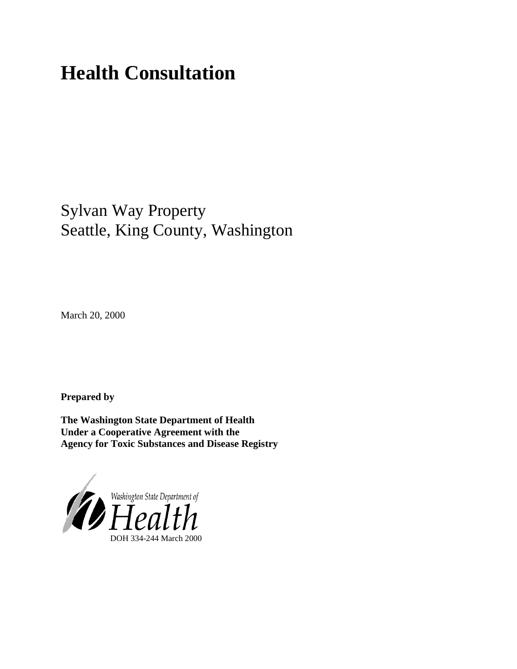# **Health Consultation**

# Sylvan Way Property Seattle, King County, Washington

March 20, 2000

**Prepared by**

**The Washington State Department of Health Under a Cooperative Agreement with the Agency for Toxic Substances and Disease Registry**

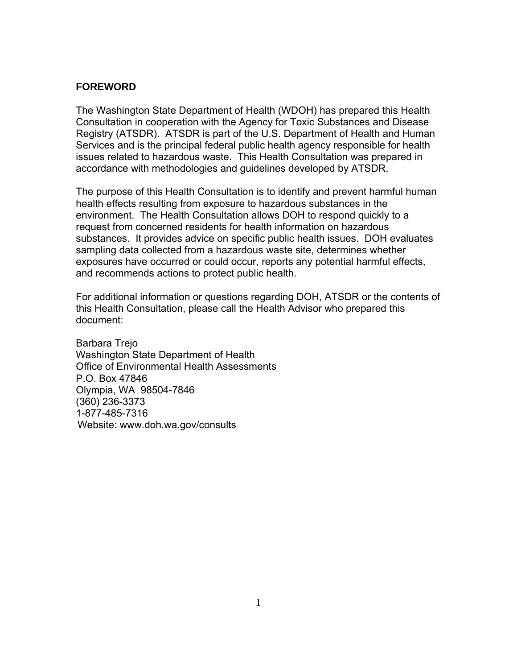#### **FOREWORD**

The Washington State Department of Health (WDOH) has prepared this Health Consultation in cooperation with the Agency for Toxic Substances and Disease Registry (ATSDR). ATSDR is part of the U.S. Department of Health and Human Services and is the principal federal public health agency responsible for health issues related to hazardous waste. This Health Consultation was prepared in accordance with methodologies and guidelines developed by ATSDR.

The purpose of this Health Consultation is to identify and prevent harmful human health effects resulting from exposure to hazardous substances in the environment. The Health Consultation allows DOH to respond quickly to a request from concerned residents for health information on hazardous substances. It provides advice on specific public health issues. DOH evaluates sampling data collected from a hazardous waste site, determines whether exposures have occurred or could occur, reports any potential harmful effects, and recommends actions to protect public health.

For additional information or questions regarding DOH, ATSDR or the contents of this Health Consultation, please call the Health Advisor who prepared this document:

Barbara Trejo Washington State Department of Health Office of Environmental Health Assessments P.O. Box 47846 Olympia, WA 98504-7846 (360) 236-3373 1-877-485-7316 Website: www.doh.wa.gov/consults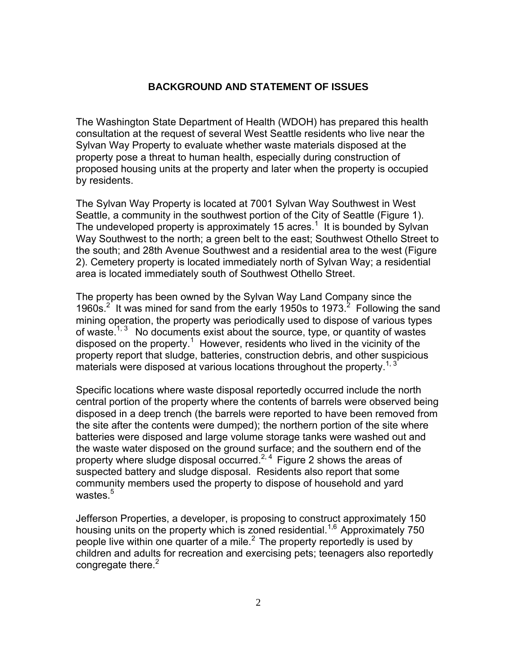#### **BACKGROUND AND STATEMENT OF ISSUES**

The Washington State Department of Health (WDOH) has prepared this health consultation at the request of several West Seattle residents who live near the Sylvan Way Property to evaluate whether waste materials disposed at the property pose a threat to human health, especially during construction of proposed housing units at the property and later when the property is occupied by residents.

The Sylvan Way Property is located at 7001 Sylvan Way Southwest in West Seattle, a community in the southwest portion of the City of Seattle (Figure 1). The undeveloped property is approximately 15 acres.<sup>1</sup> It is bounded by Sylvan Way Southwest to the north; a green belt to the east; Southwest Othello Street to the south; and 28th Avenue Southwest and a residential area to the west (Figure 2). Cemetery property is located immediately north of Sylvan Way; a residential area is located immediately south of Southwest Othello Street.

The property has been owned by the Sylvan Way Land Company since the 1960s.<sup>2</sup> It was mined for sand from the early 1950s to 1973.<sup>2</sup> Following the sand mining operation, the property was periodically used to dispose of various types of waste.<sup>1, 3</sup> No documents exist about the source, type, or quantity of wastes disposed on the property.<sup>1</sup> However, residents who lived in the vicinity of the property report that sludge, batteries, construction debris, and other suspicious materials were disposed at various locations throughout the property.<sup>1, 3</sup>

Specific locations where waste disposal reportedly occurred include the north central portion of the property where the contents of barrels were observed being disposed in a deep trench (the barrels were reported to have been removed from the site after the contents were dumped); the northern portion of the site where batteries were disposed and large volume storage tanks were washed out and the waste water disposed on the ground surface; and the southern end of the property where sludge disposal occurred.<sup>2, 4</sup> Figure 2 shows the areas of suspected battery and sludge disposal. Residents also report that some community members used the property to dispose of household and yard wastes.<sup>5</sup>

Jefferson Properties, a developer, is proposing to construct approximately 150 housing units on the property which is zoned residential.<sup>1,6</sup> Approximately 750 people live within one quarter of a mile.<sup>2</sup> The property reportedly is used by children and adults for recreation and exercising pets; teenagers also reportedly congregate there. $2$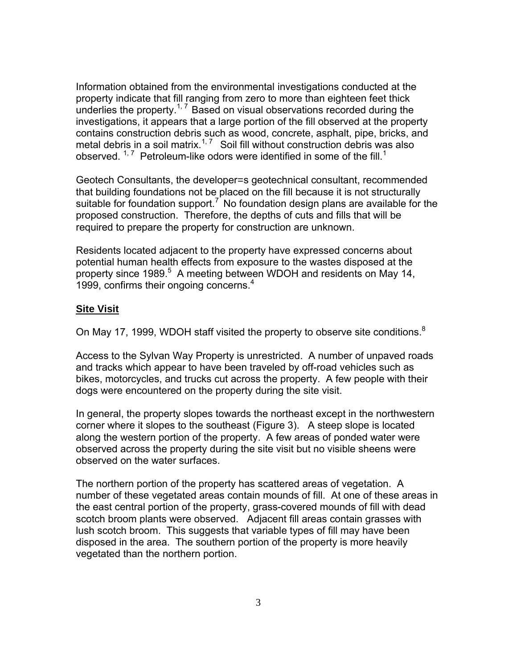Information obtained from the environmental investigations conducted at the property indicate that fill ranging from zero to more than eighteen feet thick underlies the property.<sup>1, 7</sup> Based on visual observations recorded during the investigations, it appears that a large portion of the fill observed at the property contains construction debris such as wood, concrete, asphalt, pipe, bricks, and metal debris in a soil matrix.<sup>1, 7</sup> Soil fill without construction debris was also observed.  $17$  Petroleum-like odors were identified in some of the fill.<sup>1</sup>

Geotech Consultants, the developer=s geotechnical consultant, recommended that building foundations not be placed on the fill because it is not structurally suitable for foundation support.<sup>7'</sup> No foundation design plans are available for the proposed construction. Therefore, the depths of cuts and fills that will be required to prepare the property for construction are unknown.

Residents located adjacent to the property have expressed concerns about potential human health effects from exposure to the wastes disposed at the property since 1989.<sup>5</sup> A meeting between WDOH and residents on May 14, 1999, confirms their ongoing concerns.<sup>4</sup>

#### **Site Visit**

On May 17, 1999, WDOH staff visited the property to observe site conditions. $8$ 

Access to the Sylvan Way Property is unrestricted. A number of unpaved roads and tracks which appear to have been traveled by off-road vehicles such as bikes, motorcycles, and trucks cut across the property. A few people with their dogs were encountered on the property during the site visit.

In general, the property slopes towards the northeast except in the northwestern corner where it slopes to the southeast (Figure 3). A steep slope is located along the western portion of the property. A few areas of ponded water were observed across the property during the site visit but no visible sheens were observed on the water surfaces.

The northern portion of the property has scattered areas of vegetation. A number of these vegetated areas contain mounds of fill. At one of these areas in the east central portion of the property, grass-covered mounds of fill with dead scotch broom plants were observed. Adjacent fill areas contain grasses with lush scotch broom. This suggests that variable types of fill may have been disposed in the area. The southern portion of the property is more heavily vegetated than the northern portion.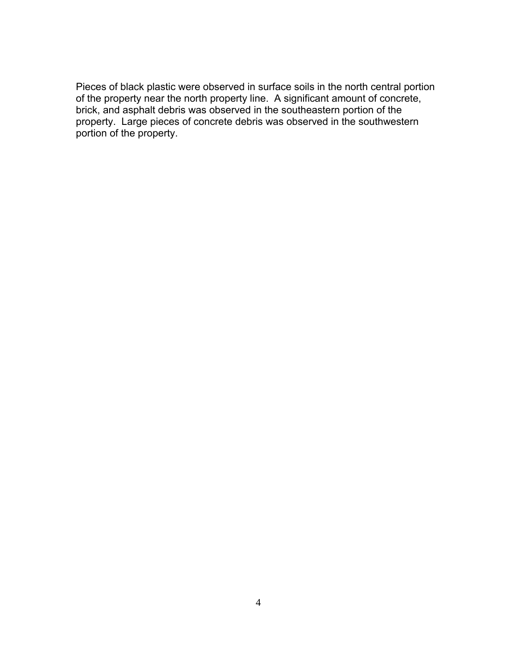Pieces of black plastic were observed in surface soils in the north central portion of the property near the north property line. A significant amount of concrete, brick, and asphalt debris was observed in the southeastern portion of the property. Large pieces of concrete debris was observed in the southwestern portion of the property.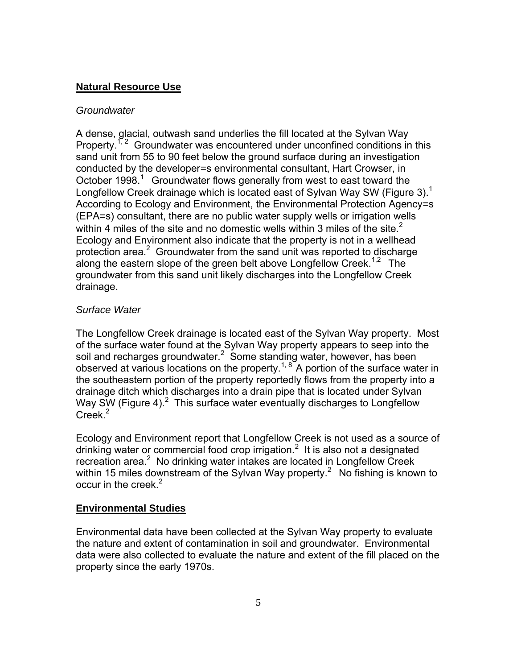## **Natural Resource Use**

#### *Groundwater*

A dense, glacial, outwash sand underlies the fill located at the Sylvan Way Property.<sup>1, 2</sup> Groundwater was encountered under unconfined conditions in this sand unit from 55 to 90 feet below the ground surface during an investigation conducted by the developer=s environmental consultant, Hart Crowser, in October 1998.<sup>1</sup> Groundwater flows generally from west to east toward the Longfellow Creek drainage which is located east of Sylvan Way SW (Figure 3).<sup>1</sup> According to Ecology and Environment, the Environmental Protection Agency=s (EPA=s) consultant, there are no public water supply wells or irrigation wells within 4 miles of the site and no domestic wells within 3 miles of the site.<sup>2</sup> Ecology and Environment also indicate that the property is not in a wellhead protection area. $2$  Groundwater from the sand unit was reported to discharge along the eastern slope of the green belt above Longfellow Creek.<sup>1,2</sup> The groundwater from this sand unit likely discharges into the Longfellow Creek drainage.

### *Surface Water*

The Longfellow Creek drainage is located east of the Sylvan Way property. Most of the surface water found at the Sylvan Way property appears to seep into the soil and recharges groundwater.<sup>2</sup> Some standing water, however, has been observed at various locations on the property.<sup>1, 8</sup> A portion of the surface water in the southeastern portion of the property reportedly flows from the property into a drainage ditch which discharges into a drain pipe that is located under Sylvan Way SW (Figure 4). $^2$  This surface water eventually discharges to Longfellow  $C$ reek $^2$ 

Ecology and Environment report that Longfellow Creek is not used as a source of drinking water or commercial food crop irrigation.<sup>2</sup> It is also not a designated recreation area.<sup>2</sup> No drinking water intakes are located in Longfellow Creek within 15 miles downstream of the Sylvan Way property.<sup>2</sup> No fishing is known to occur in the creek. $2$ 

### **Environmental Studies**

Environmental data have been collected at the Sylvan Way property to evaluate the nature and extent of contamination in soil and groundwater. Environmental data were also collected to evaluate the nature and extent of the fill placed on the property since the early 1970s.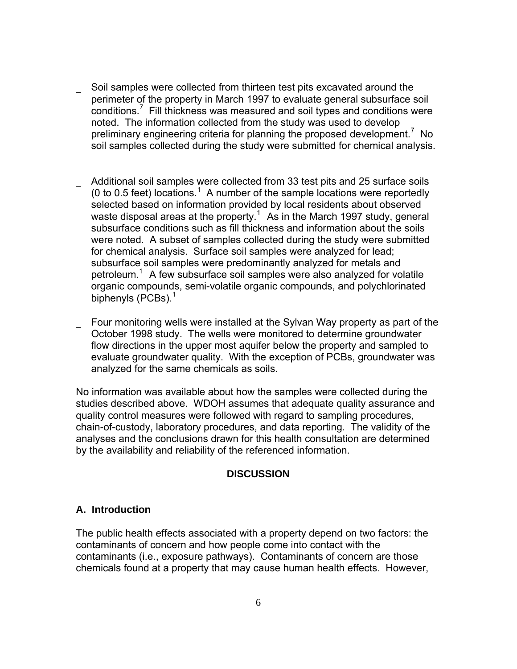- Soil samples were collected from thirteen test pits excavated around the perimeter of the property in March 1997 to evaluate general subsurface soil  $\text{conditions}^7$  Fill thickness was measured and soil types and conditions were noted. The information collected from the study was used to develop preliminary engineering criteria for planning the proposed development.<sup>7</sup> No soil samples collected during the study were submitted for chemical analysis.
- Additional soil samples were collected from 33 test pits and 25 surface soils (0 to 0.5 feet) locations.<sup>1</sup> A number of the sample locations were reportedly selected based on information provided by local residents about observed waste disposal areas at the property.<sup>1</sup> As in the March 1997 study, general subsurface conditions such as fill thickness and information about the soils were noted. A subset of samples collected during the study were submitted for chemical analysis. Surface soil samples were analyzed for lead; subsurface soil samples were predominantly analyzed for metals and petroleum.<sup>1</sup> A few subsurface soil samples were also analyzed for volatile organic compounds, semi-volatile organic compounds, and polychlorinated biphenyls (PCBs).<sup>1</sup>
- Four monitoring wells were installed at the Sylvan Way property as part of the October 1998 study. The wells were monitored to determine groundwater flow directions in the upper most aquifer below the property and sampled to evaluate groundwater quality. With the exception of PCBs, groundwater was analyzed for the same chemicals as soils.

No information was available about how the samples were collected during the studies described above. WDOH assumes that adequate quality assurance and quality control measures were followed with regard to sampling procedures, chain-of-custody, laboratory procedures, and data reporting. The validity of the analyses and the conclusions drawn for this health consultation are determined by the availability and reliability of the referenced information.

#### **DISCUSSION**

#### **A. Introduction**

The public health effects associated with a property depend on two factors: the contaminants of concern and how people come into contact with the contaminants (i.e., exposure pathways). Contaminants of concern are those chemicals found at a property that may cause human health effects. However,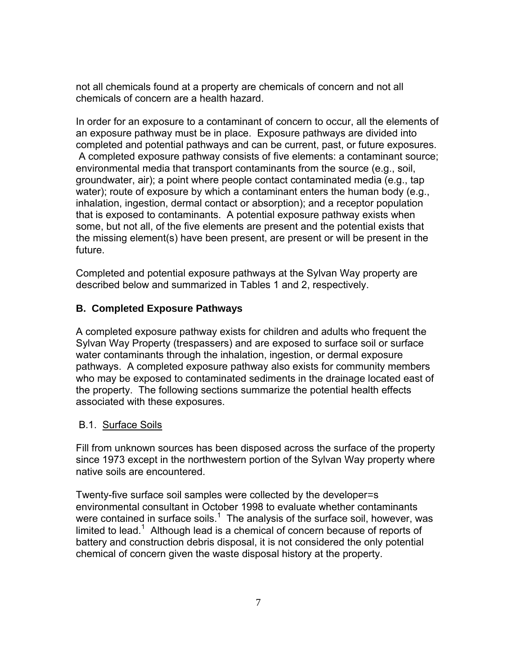not all chemicals found at a property are chemicals of concern and not all chemicals of concern are a health hazard.

In order for an exposure to a contaminant of concern to occur, all the elements of an exposure pathway must be in place. Exposure pathways are divided into completed and potential pathways and can be current, past, or future exposures. A completed exposure pathway consists of five elements: a contaminant source; environmental media that transport contaminants from the source (e.g., soil, groundwater, air); a point where people contact contaminated media (e.g., tap water); route of exposure by which a contaminant enters the human body (e.g., inhalation, ingestion, dermal contact or absorption); and a receptor population that is exposed to contaminants. A potential exposure pathway exists when some, but not all, of the five elements are present and the potential exists that the missing element(s) have been present, are present or will be present in the future.

Completed and potential exposure pathways at the Sylvan Way property are described below and summarized in Tables 1 and 2, respectively.

# **B. Completed Exposure Pathways**

A completed exposure pathway exists for children and adults who frequent the Sylvan Way Property (trespassers) and are exposed to surface soil or surface water contaminants through the inhalation, ingestion, or dermal exposure pathways. A completed exposure pathway also exists for community members who may be exposed to contaminated sediments in the drainage located east of the property. The following sections summarize the potential health effects associated with these exposures.

### B.1. Surface Soils

Fill from unknown sources has been disposed across the surface of the property since 1973 except in the northwestern portion of the Sylvan Way property where native soils are encountered.

Twenty-five surface soil samples were collected by the developer=s environmental consultant in October 1998 to evaluate whether contaminants were contained in surface soils.<sup>1</sup> The analysis of the surface soil, however, was limited to lead.<sup>1</sup> Although lead is a chemical of concern because of reports of battery and construction debris disposal, it is not considered the only potential chemical of concern given the waste disposal history at the property.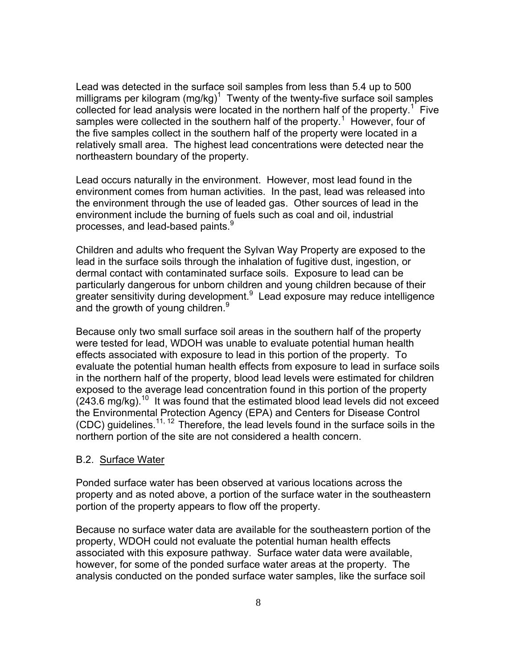Lead was detected in the surface soil samples from less than 5.4 up to 500 milligrams per kilogram (mg/kg)<sup>1</sup> Twenty of the twenty-five surface soil samples collected for lead analysis were located in the northern half of the property.<sup>1</sup> Five samples were collected in the southern half of the property.<sup>1</sup> However, four of the five samples collect in the southern half of the property were located in a relatively small area. The highest lead concentrations were detected near the northeastern boundary of the property.

Lead occurs naturally in the environment. However, most lead found in the environment comes from human activities. In the past, lead was released into the environment through the use of leaded gas. Other sources of lead in the environment include the burning of fuels such as coal and oil, industrial processes, and lead-based paints. $9$ 

Children and adults who frequent the Sylvan Way Property are exposed to the lead in the surface soils through the inhalation of fugitive dust, ingestion, or dermal contact with contaminated surface soils. Exposure to lead can be particularly dangerous for unborn children and young children because of their greater sensitivity during development.<sup>9</sup> Lead exposure may reduce intelligence and the growth of young children.<sup>9</sup>

Because only two small surface soil areas in the southern half of the property were tested for lead, WDOH was unable to evaluate potential human health effects associated with exposure to lead in this portion of the property. To evaluate the potential human health effects from exposure to lead in surface soils in the northern half of the property, blood lead levels were estimated for children exposed to the average lead concentration found in this portion of the property  $(243.6 \text{ mg/kg})$ .<sup>10</sup> It was found that the estimated blood lead levels did not exceed the Environmental Protection Agency (EPA) and Centers for Disease Control (CDC) guidelines.11, 12 Therefore, the lead levels found in the surface soils in the northern portion of the site are not considered a health concern.

#### B.2. Surface Water

Ponded surface water has been observed at various locations across the property and as noted above, a portion of the surface water in the southeastern portion of the property appears to flow off the property.

Because no surface water data are available for the southeastern portion of the property, WDOH could not evaluate the potential human health effects associated with this exposure pathway. Surface water data were available, however, for some of the ponded surface water areas at the property. The analysis conducted on the ponded surface water samples, like the surface soil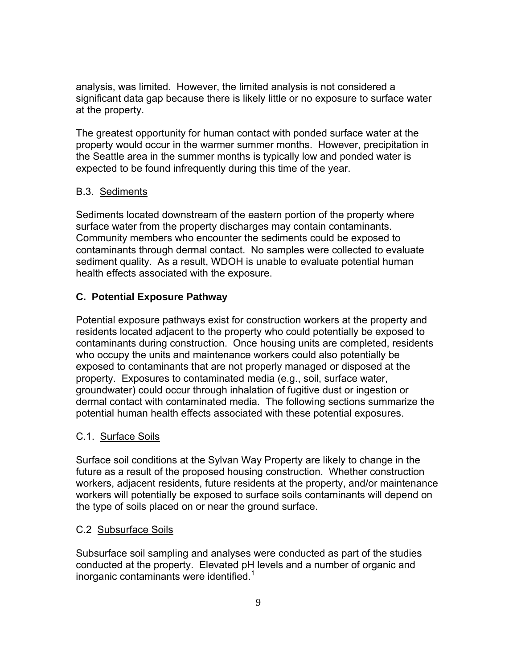analysis, was limited. However, the limited analysis is not considered a significant data gap because there is likely little or no exposure to surface water at the property.

The greatest opportunity for human contact with ponded surface water at the property would occur in the warmer summer months. However, precipitation in the Seattle area in the summer months is typically low and ponded water is expected to be found infrequently during this time of the year.

# B.3. Sediments

Sediments located downstream of the eastern portion of the property where surface water from the property discharges may contain contaminants. Community members who encounter the sediments could be exposed to contaminants through dermal contact. No samples were collected to evaluate sediment quality. As a result, WDOH is unable to evaluate potential human health effects associated with the exposure.

# **C. Potential Exposure Pathway**

Potential exposure pathways exist for construction workers at the property and residents located adjacent to the property who could potentially be exposed to contaminants during construction. Once housing units are completed, residents who occupy the units and maintenance workers could also potentially be exposed to contaminants that are not properly managed or disposed at the property. Exposures to contaminated media (e.g., soil, surface water, groundwater) could occur through inhalation of fugitive dust or ingestion or dermal contact with contaminated media. The following sections summarize the potential human health effects associated with these potential exposures.

### C.1. Surface Soils

Surface soil conditions at the Sylvan Way Property are likely to change in the future as a result of the proposed housing construction. Whether construction workers, adjacent residents, future residents at the property, and/or maintenance workers will potentially be exposed to surface soils contaminants will depend on the type of soils placed on or near the ground surface.

### C.2 Subsurface Soils

Subsurface soil sampling and analyses were conducted as part of the studies conducted at the property. Elevated pH levels and a number of organic and inorganic contaminants were identified. $1$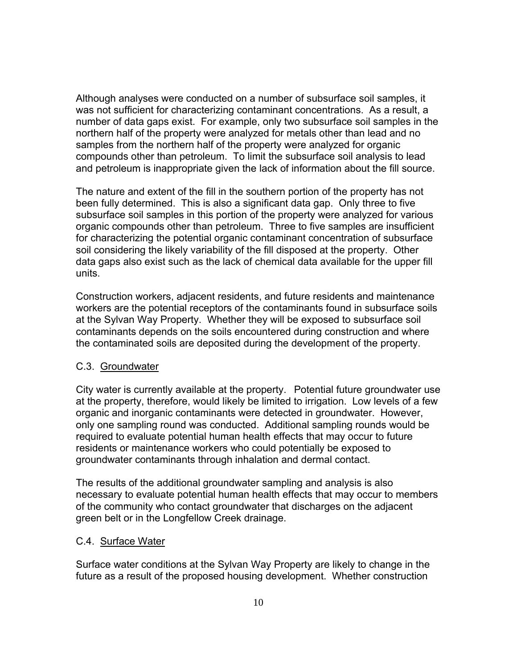Although analyses were conducted on a number of subsurface soil samples, it was not sufficient for characterizing contaminant concentrations. As a result, a number of data gaps exist. For example, only two subsurface soil samples in the northern half of the property were analyzed for metals other than lead and no samples from the northern half of the property were analyzed for organic compounds other than petroleum. To limit the subsurface soil analysis to lead and petroleum is inappropriate given the lack of information about the fill source.

The nature and extent of the fill in the southern portion of the property has not been fully determined. This is also a significant data gap. Only three to five subsurface soil samples in this portion of the property were analyzed for various organic compounds other than petroleum. Three to five samples are insufficient for characterizing the potential organic contaminant concentration of subsurface soil considering the likely variability of the fill disposed at the property. Other data gaps also exist such as the lack of chemical data available for the upper fill units.

Construction workers, adjacent residents, and future residents and maintenance workers are the potential receptors of the contaminants found in subsurface soils at the Sylvan Way Property. Whether they will be exposed to subsurface soil contaminants depends on the soils encountered during construction and where the contaminated soils are deposited during the development of the property.

#### C.3. Groundwater

City water is currently available at the property. Potential future groundwater use at the property, therefore, would likely be limited to irrigation. Low levels of a few organic and inorganic contaminants were detected in groundwater. However, only one sampling round was conducted. Additional sampling rounds would be required to evaluate potential human health effects that may occur to future residents or maintenance workers who could potentially be exposed to groundwater contaminants through inhalation and dermal contact.

The results of the additional groundwater sampling and analysis is also necessary to evaluate potential human health effects that may occur to members of the community who contact groundwater that discharges on the adjacent green belt or in the Longfellow Creek drainage.

#### C.4. Surface Water

Surface water conditions at the Sylvan Way Property are likely to change in the future as a result of the proposed housing development. Whether construction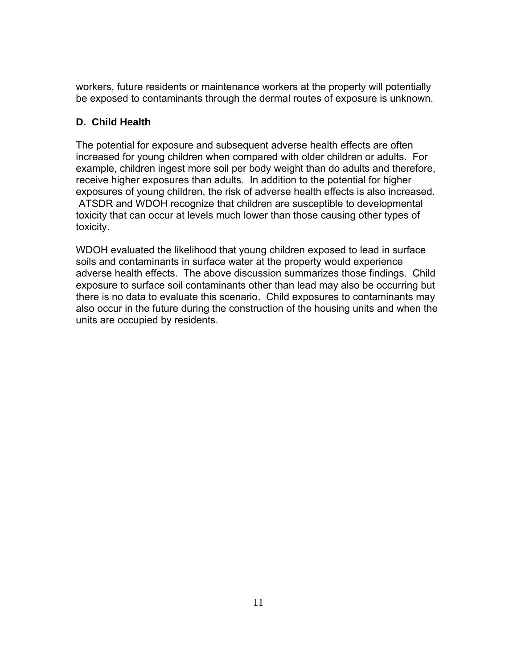workers, future residents or maintenance workers at the property will potentially be exposed to contaminants through the dermal routes of exposure is unknown.

# **D. Child Health**

The potential for exposure and subsequent adverse health effects are often increased for young children when compared with older children or adults. For example, children ingest more soil per body weight than do adults and therefore, receive higher exposures than adults. In addition to the potential for higher exposures of young children, the risk of adverse health effects is also increased. ATSDR and WDOH recognize that children are susceptible to developmental toxicity that can occur at levels much lower than those causing other types of toxicity.

WDOH evaluated the likelihood that young children exposed to lead in surface soils and contaminants in surface water at the property would experience adverse health effects. The above discussion summarizes those findings. Child exposure to surface soil contaminants other than lead may also be occurring but there is no data to evaluate this scenario. Child exposures to contaminants may also occur in the future during the construction of the housing units and when the units are occupied by residents.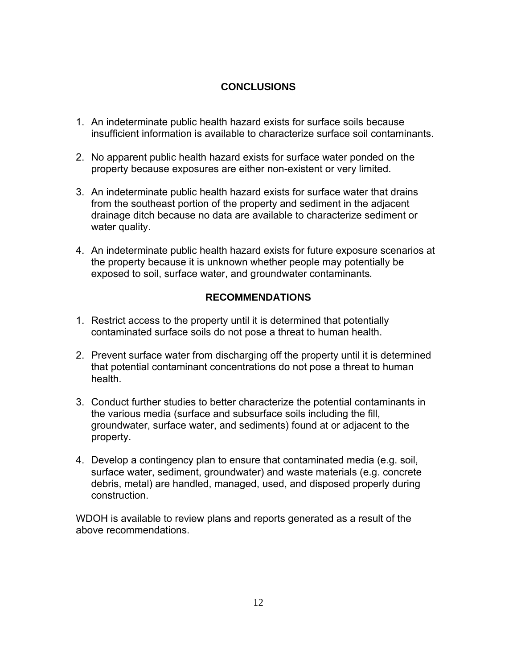# **CONCLUSIONS**

- 1. An indeterminate public health hazard exists for surface soils because insufficient information is available to characterize surface soil contaminants.
- 2. No apparent public health hazard exists for surface water ponded on the property because exposures are either non-existent or very limited.
- 3. An indeterminate public health hazard exists for surface water that drains from the southeast portion of the property and sediment in the adjacent drainage ditch because no data are available to characterize sediment or water quality.
- 4. An indeterminate public health hazard exists for future exposure scenarios at the property because it is unknown whether people may potentially be exposed to soil, surface water, and groundwater contaminants*.*

# **RECOMMENDATIONS**

- 1. Restrict access to the property until it is determined that potentially contaminated surface soils do not pose a threat to human health.
- 2. Prevent surface water from discharging off the property until it is determined that potential contaminant concentrations do not pose a threat to human health.
- 3. Conduct further studies to better characterize the potential contaminants in the various media (surface and subsurface soils including the fill, groundwater, surface water, and sediments) found at or adjacent to the property.
- 4. Develop a contingency plan to ensure that contaminated media (e.g. soil, surface water, sediment, groundwater) and waste materials (e.g. concrete debris, metal) are handled, managed, used, and disposed properly during construction.

WDOH is available to review plans and reports generated as a result of the above recommendations.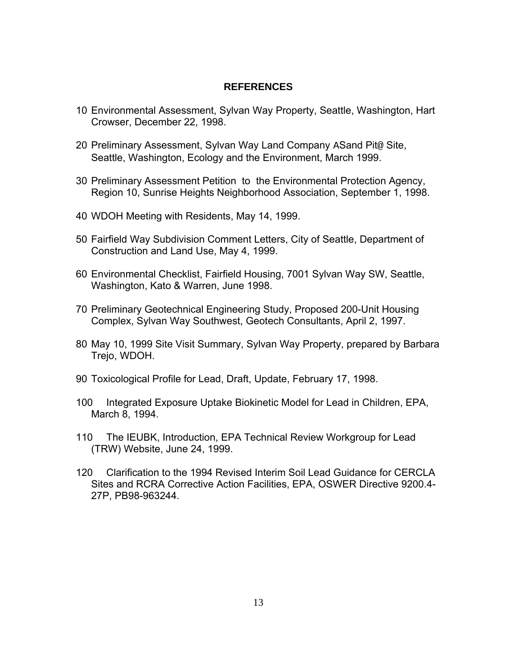#### **REFERENCES**

- 10 Environmental Assessment, Sylvan Way Property, Seattle, Washington, Hart Crowser, December 22, 1998.
- 20 Preliminary Assessment, Sylvan Way Land Company ASand Pit@ Site, Seattle, Washington, Ecology and the Environment, March 1999.
- 30 Preliminary Assessment Petition to the Environmental Protection Agency, Region 10, Sunrise Heights Neighborhood Association, September 1, 1998.
- 40 WDOH Meeting with Residents, May 14, 1999.
- 50 Fairfield Way Subdivision Comment Letters, City of Seattle, Department of Construction and Land Use, May 4, 1999.
- 60 Environmental Checklist, Fairfield Housing, 7001 Sylvan Way SW, Seattle, Washington, Kato & Warren, June 1998.
- 70 Preliminary Geotechnical Engineering Study, Proposed 200-Unit Housing Complex, Sylvan Way Southwest, Geotech Consultants, April 2, 1997.
- 80 May 10, 1999 Site Visit Summary, Sylvan Way Property, prepared by Barbara Trejo, WDOH.
- 90 Toxicological Profile for Lead, Draft, Update, February 17, 1998.
- 100 Integrated Exposure Uptake Biokinetic Model for Lead in Children, EPA, March 8, 1994.
- 110 The IEUBK, Introduction, EPA Technical Review Workgroup for Lead (TRW) Website, June 24, 1999.
- 120 Clarification to the 1994 Revised Interim Soil Lead Guidance for CERCLA Sites and RCRA Corrective Action Facilities, EPA, OSWER Directive 9200.4- 27P, PB98-963244.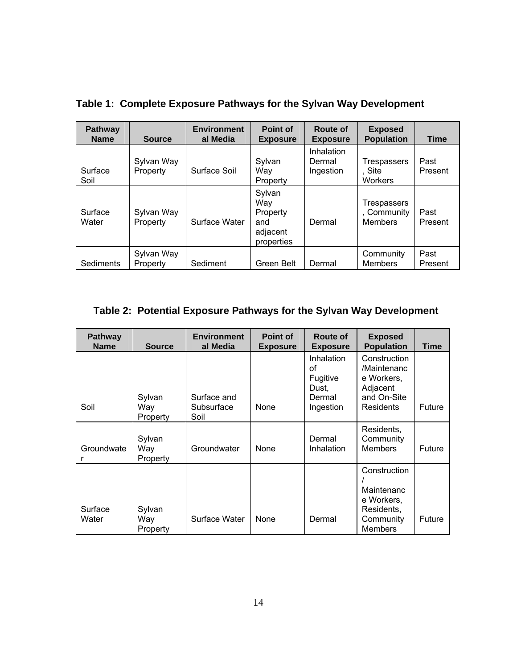| <b>Pathway</b><br><b>Name</b> | <b>Source</b>          | <b>Environment</b><br>al Media | Point of<br><b>Exposure</b>                                | Route of<br><b>Exposure</b>       | <b>Exposed</b><br><b>Population</b>                 | <b>Time</b>     |
|-------------------------------|------------------------|--------------------------------|------------------------------------------------------------|-----------------------------------|-----------------------------------------------------|-----------------|
| Surface<br>Soil               | Sylvan Way<br>Property | Surface Soil                   | Sylvan<br>Way<br>Property                                  | Inhalation<br>Dermal<br>Ingestion | <b>Trespassers</b><br>, Site<br><b>Workers</b>      | Past<br>Present |
| Surface<br>Water              | Sylvan Way<br>Property | Surface Water                  | Sylvan<br>Way<br>Property<br>and<br>adjacent<br>properties | Dermal                            | <b>Trespassers</b><br>, Community<br><b>Members</b> | Past<br>Present |
| Sediments                     | Sylvan Way<br>Property | Sediment                       | Green Belt                                                 | Dermal                            | Community<br><b>Members</b>                         | Past<br>Present |

**Table 1: Complete Exposure Pathways for the Sylvan Way Development**

# **Table 2: Potential Exposure Pathways for the Sylvan Way Development**

| <b>Pathway</b><br><b>Name</b> | <b>Source</b>             | <b>Environment</b><br>al Media    | <b>Point of</b><br><b>Exposure</b> | Route of<br><b>Exposure</b>                                  | <b>Exposed</b><br><b>Population</b>                                                   | Time   |
|-------------------------------|---------------------------|-----------------------------------|------------------------------------|--------------------------------------------------------------|---------------------------------------------------------------------------------------|--------|
| Soil                          | Sylvan<br>Way<br>Property | Surface and<br>Subsurface<br>Soil | None                               | Inhalation<br>οf<br>Fugitive<br>Dust,<br>Dermal<br>Ingestion | Construction<br>/Maintenanc<br>e Workers,<br>Adjacent<br>and On-Site<br>Residents     | Future |
| Groundwate                    | Sylvan<br>Way<br>Property | Groundwater                       | None                               | Dermal<br>Inhalation                                         | Residents,<br>Community<br><b>Members</b>                                             | Future |
| Surface<br>Water              | Sylvan<br>Way<br>Property | Surface Water                     | None                               | Dermal                                                       | Construction<br>Maintenanc<br>e Workers,<br>Residents,<br>Community<br><b>Members</b> | Future |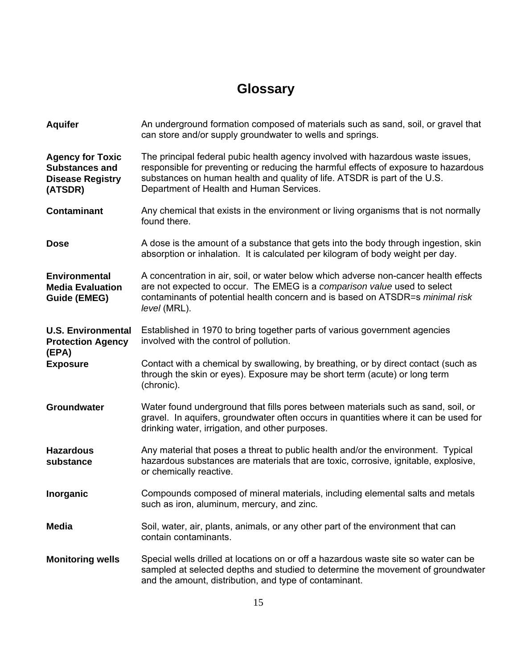# **Glossary**

| <b>Aquifer</b>                                                                         | An underground formation composed of materials such as sand, soil, or gravel that<br>can store and/or supply groundwater to wells and springs.                                                                                                                                                  |
|----------------------------------------------------------------------------------------|-------------------------------------------------------------------------------------------------------------------------------------------------------------------------------------------------------------------------------------------------------------------------------------------------|
| <b>Agency for Toxic</b><br><b>Substances and</b><br><b>Disease Registry</b><br>(ATSDR) | The principal federal pubic health agency involved with hazardous waste issues,<br>responsible for preventing or reducing the harmful effects of exposure to hazardous<br>substances on human health and quality of life. ATSDR is part of the U.S.<br>Department of Health and Human Services. |
| <b>Contaminant</b>                                                                     | Any chemical that exists in the environment or living organisms that is not normally<br>found there.                                                                                                                                                                                            |
| <b>Dose</b>                                                                            | A dose is the amount of a substance that gets into the body through ingestion, skin<br>absorption or inhalation. It is calculated per kilogram of body weight per day.                                                                                                                          |
| <b>Environmental</b><br><b>Media Evaluation</b><br><b>Guide (EMEG)</b>                 | A concentration in air, soil, or water below which adverse non-cancer health effects<br>are not expected to occur. The EMEG is a comparison value used to select<br>contaminants of potential health concern and is based on ATSDR=s minimal risk<br>level (MRL).                               |
| <b>U.S. Environmental</b><br><b>Protection Agency</b><br>(EPA)                         | Established in 1970 to bring together parts of various government agencies<br>involved with the control of pollution.                                                                                                                                                                           |
| <b>Exposure</b>                                                                        | Contact with a chemical by swallowing, by breathing, or by direct contact (such as<br>through the skin or eyes). Exposure may be short term (acute) or long term<br>(chronic).                                                                                                                  |
| <b>Groundwater</b>                                                                     | Water found underground that fills pores between materials such as sand, soil, or<br>gravel. In aquifers, groundwater often occurs in quantities where it can be used for<br>drinking water, irrigation, and other purposes.                                                                    |
| <b>Hazardous</b><br>substance                                                          | Any material that poses a threat to public health and/or the environment. Typical<br>hazardous substances are materials that are toxic, corrosive, ignitable, explosive,<br>or chemically reactive.                                                                                             |
| Inorganic                                                                              | Compounds composed of mineral materials, including elemental salts and metals<br>such as iron, aluminum, mercury, and zinc.                                                                                                                                                                     |
| <b>Media</b>                                                                           | Soil, water, air, plants, animals, or any other part of the environment that can<br>contain contaminants.                                                                                                                                                                                       |
| <b>Monitoring wells</b>                                                                | Special wells drilled at locations on or off a hazardous waste site so water can be<br>sampled at selected depths and studied to determine the movement of groundwater<br>and the amount, distribution, and type of contaminant.                                                                |